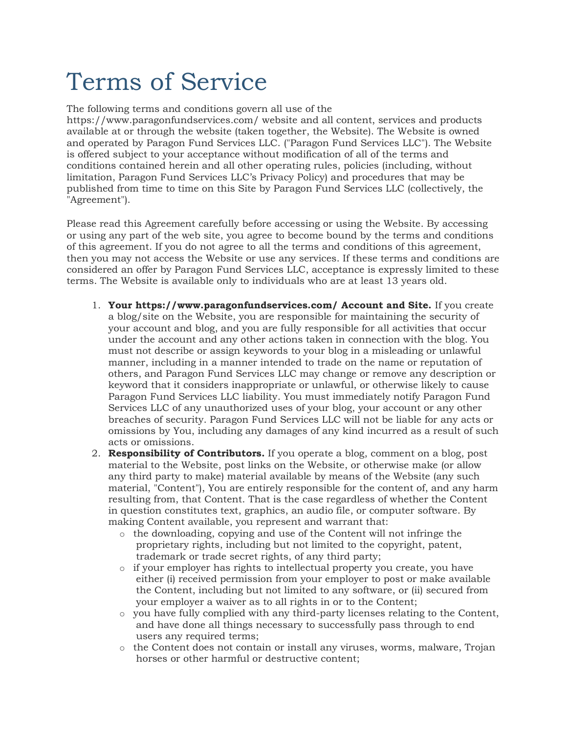# Terms of Service

The following terms and conditions govern all use of the https://www.paragonfundservices.com/ website and all content, services and products available at or through the website (taken together, the Website). The Website is owned and operated by Paragon Fund Services LLC. ("Paragon Fund Services LLC"). The Website is offered subject to your acceptance without modification of all of the terms and conditions contained herein and all other operating rules, policies (including, without limitation, Paragon Fund Services LLC's Privacy Policy) and procedures that may be published from time to time on this Site by Paragon Fund Services LLC (collectively, the "Agreement").

Please read this Agreement carefully before accessing or using the Website. By accessing or using any part of the web site, you agree to become bound by the terms and conditions of this agreement. If you do not agree to all the terms and conditions of this agreement, then you may not access the Website or use any services. If these terms and conditions are considered an offer by Paragon Fund Services LLC, acceptance is expressly limited to these terms. The Website is available only to individuals who are at least 13 years old.

- 1. Your https://www.paragonfundservices.com/ Account and Site. If you create a blog/site on the Website, you are responsible for maintaining the security of your account and blog, and you are fully responsible for all activities that occur under the account and any other actions taken in connection with the blog. You must not describe or assign keywords to your blog in a misleading or unlawful manner, including in a manner intended to trade on the name or reputation of others, and Paragon Fund Services LLC may change or remove any description or keyword that it considers inappropriate or unlawful, or otherwise likely to cause Paragon Fund Services LLC liability. You must immediately notify Paragon Fund Services LLC of any unauthorized uses of your blog, your account or any other breaches of security. Paragon Fund Services LLC will not be liable for any acts or omissions by You, including any damages of any kind incurred as a result of such acts or omissions.
- 2. **Responsibility of Contributors.** If you operate a blog, comment on a blog, post material to the Website, post links on the Website, or otherwise make (or allow any third party to make) material available by means of the Website (any such material, "Content"), You are entirely responsible for the content of, and any harm resulting from, that Content. That is the case regardless of whether the Content in question constitutes text, graphics, an audio file, or computer software. By making Content available, you represent and warrant that:
	- o the downloading, copying and use of the Content will not infringe the proprietary rights, including but not limited to the copyright, patent, trademark or trade secret rights, of any third party;
	- $\circ$  if your employer has rights to intellectual property you create, you have either (i) received permission from your employer to post or make available the Content, including but not limited to any software, or (ii) secured from your employer a waiver as to all rights in or to the Content;
	- $\circ$  you have fully complied with any third-party licenses relating to the Content, and have done all things necessary to successfully pass through to end users any required terms;
	- o the Content does not contain or install any viruses, worms, malware, Trojan horses or other harmful or destructive content;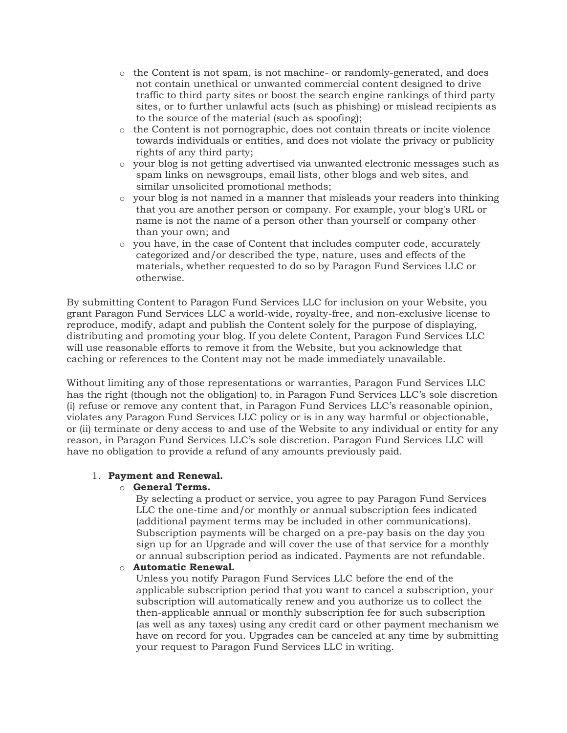- o the Content is not spam, is not machine- or randomly-generated, and does not contain unethical or unwanted commercial content designed to drive traffic to third party sites or boost the search engine rankings of third party sites, or to further unlawful acts (such as phishing) or mislead recipients as to the source of the material (such as spoofing);
- $\circ$  the Content is not pornographic, does not contain threats or incite violence towards individuals or entities, and does not violate the privacy or publicity rights of any third party;
- o your blog is not getting advertised via unwanted electronic messages such as spam links on newsgroups, email lists, other blogs and web sites, and similar unsolicited promotional methods;
- o your blog is not named in a manner that misleads your readers into thinking that you are another person or company. For example, your blog's URL or name is not the name of a person other than yourself or company other than your own; and
- o you have, in the case of Content that includes computer code, accurately categorized and/or described the type, nature, uses and effects of the materials, whether requested to do so by Paragon Fund Services LLC or otherwise.

By submitting Content to Paragon Fund Services LLC for inclusion on your Website, you grant Paragon Fund Services LLC a world-wide, royalty-free, and non-exclusive license to reproduce, modify, adapt and publish the Content solely for the purpose of displaying, distributing and promoting your blog. If you delete Content, Paragon Fund Services LLC will use reasonable efforts to remove it from the Website, but you acknowledge that caching or references to the Content may not be made immediately unavailable.

Without limiting any of those representations or warranties, Paragon Fund Services LLC has the right (though not the obligation) to, in Paragon Fund Services LLC's sole discretion (i) refuse or remove any content that, in Paragon Fund Services LLC's reasonable opinion, violates any Paragon Fund Services LLC policy or is in any way harmful or objectionable, or (ii) terminate or deny access to and use of the Website to any individual or entity for any reason, in Paragon Fund Services LLC's sole discretion. Paragon Fund Services LLC will have no obligation to provide a refund of any amounts previously paid.

## 1. Payment and Renewal.

## o General Terms.

By selecting a product or service, you agree to pay Paragon Fund Services LLC the one-time and/or monthly or annual subscription fees indicated (additional payment terms may be included in other communications). Subscription payments will be charged on a pre-pay basis on the day you sign up for an Upgrade and will cover the use of that service for a monthly or annual subscription period as indicated. Payments are not refundable.

## o Automatic Renewal.

Unless you notify Paragon Fund Services LLC before the end of the applicable subscription period that you want to cancel a subscription, your subscription will automatically renew and you authorize us to collect the then-applicable annual or monthly subscription fee for such subscription (as well as any taxes) using any credit card or other payment mechanism we have on record for you. Upgrades can be canceled at any time by submitting your request to Paragon Fund Services LLC in writing.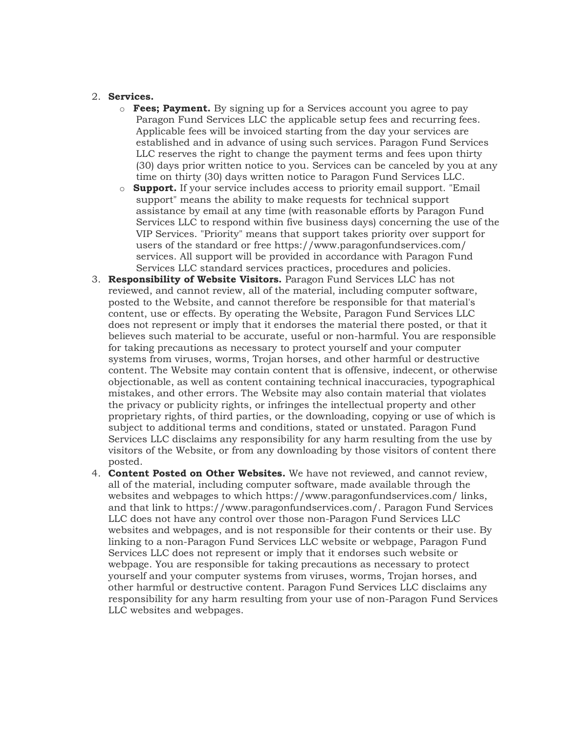### 2. Services.

- $\circ$  **Fees; Payment.** By signing up for a Services account you agree to pay Paragon Fund Services LLC the applicable setup fees and recurring fees. Applicable fees will be invoiced starting from the day your services are established and in advance of using such services. Paragon Fund Services LLC reserves the right to change the payment terms and fees upon thirty (30) days prior written notice to you. Services can be canceled by you at any time on thirty (30) days written notice to Paragon Fund Services LLC.
- $\circ$  **Support.** If your service includes access to priority email support. "Email support" means the ability to make requests for technical support assistance by email at any time (with reasonable efforts by Paragon Fund Services LLC to respond within five business days) concerning the use of the VIP Services. "Priority" means that support takes priority over support for users of the standard or free https://www.paragonfundservices.com/ services. All support will be provided in accordance with Paragon Fund Services LLC standard services practices, procedures and policies.
- 3. Responsibility of Website Visitors. Paragon Fund Services LLC has not reviewed, and cannot review, all of the material, including computer software, posted to the Website, and cannot therefore be responsible for that material's content, use or effects. By operating the Website, Paragon Fund Services LLC does not represent or imply that it endorses the material there posted, or that it believes such material to be accurate, useful or non-harmful. You are responsible for taking precautions as necessary to protect yourself and your computer systems from viruses, worms, Trojan horses, and other harmful or destructive content. The Website may contain content that is offensive, indecent, or otherwise objectionable, as well as content containing technical inaccuracies, typographical mistakes, and other errors. The Website may also contain material that violates the privacy or publicity rights, or infringes the intellectual property and other proprietary rights, of third parties, or the downloading, copying or use of which is subject to additional terms and conditions, stated or unstated. Paragon Fund Services LLC disclaims any responsibility for any harm resulting from the use by visitors of the Website, or from any downloading by those visitors of content there posted.
- 4. Content Posted on Other Websites. We have not reviewed, and cannot review, all of the material, including computer software, made available through the websites and webpages to which https://www.paragonfundservices.com/ links, and that link to https://www.paragonfundservices.com/. Paragon Fund Services LLC does not have any control over those non-Paragon Fund Services LLC websites and webpages, and is not responsible for their contents or their use. By linking to a non-Paragon Fund Services LLC website or webpage, Paragon Fund Services LLC does not represent or imply that it endorses such website or webpage. You are responsible for taking precautions as necessary to protect yourself and your computer systems from viruses, worms, Trojan horses, and other harmful or destructive content. Paragon Fund Services LLC disclaims any responsibility for any harm resulting from your use of non-Paragon Fund Services LLC websites and webpages.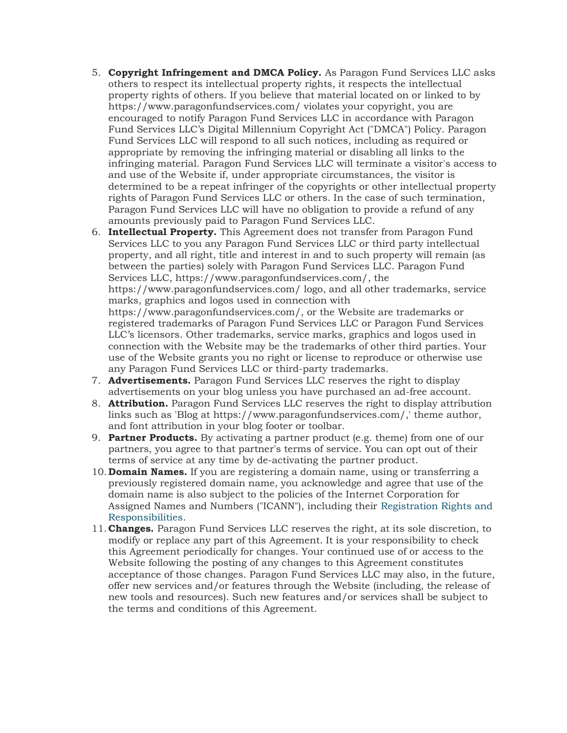- 5. Copyright Infringement and DMCA Policy. As Paragon Fund Services LLC asks others to respect its intellectual property rights, it respects the intellectual property rights of others. If you believe that material located on or linked to by https://www.paragonfundservices.com/ violates your copyright, you are encouraged to notify Paragon Fund Services LLC in accordance with Paragon Fund Services LLC's Digital Millennium Copyright Act ("DMCA") Policy. Paragon Fund Services LLC will respond to all such notices, including as required or appropriate by removing the infringing material or disabling all links to the infringing material. Paragon Fund Services LLC will terminate a visitor's access to and use of the Website if, under appropriate circumstances, the visitor is determined to be a repeat infringer of the copyrights or other intellectual property rights of Paragon Fund Services LLC or others. In the case of such termination, Paragon Fund Services LLC will have no obligation to provide a refund of any amounts previously paid to Paragon Fund Services LLC.
- 6. Intellectual Property. This Agreement does not transfer from Paragon Fund Services LLC to you any Paragon Fund Services LLC or third party intellectual property, and all right, title and interest in and to such property will remain (as between the parties) solely with Paragon Fund Services LLC. Paragon Fund Services LLC, https://www.paragonfundservices.com/, the https://www.paragonfundservices.com/ logo, and all other trademarks, service marks, graphics and logos used in connection with https://www.paragonfundservices.com/, or the Website are trademarks or registered trademarks of Paragon Fund Services LLC or Paragon Fund Services LLC's licensors. Other trademarks, service marks, graphics and logos used in connection with the Website may be the trademarks of other third parties. Your use of the Website grants you no right or license to reproduce or otherwise use any Paragon Fund Services LLC or third-party trademarks.
- 7. Advertisements. Paragon Fund Services LLC reserves the right to display advertisements on your blog unless you have purchased an ad-free account.
- 8. Attribution. Paragon Fund Services LLC reserves the right to display attribution links such as 'Blog at https://www.paragonfundservices.com/,' theme author, and font attribution in your blog footer or toolbar.
- 9. Partner Products. By activating a partner product (e.g. theme) from one of our partners, you agree to that partner's terms of service. You can opt out of their terms of service at any time by de-activating the partner product.
- 10. **Domain Names.** If you are registering a domain name, using or transferring a previously registered domain name, you acknowledge and agree that use of the domain name is also subject to the policies of the Internet Corporation for Assigned Names and Numbers ("ICANN"), including their Registration Rights and Responsibilities.
- 11.Changes. Paragon Fund Services LLC reserves the right, at its sole discretion, to modify or replace any part of this Agreement. It is your responsibility to check this Agreement periodically for changes. Your continued use of or access to the Website following the posting of any changes to this Agreement constitutes acceptance of those changes. Paragon Fund Services LLC may also, in the future, offer new services and/or features through the Website (including, the release of new tools and resources). Such new features and/or services shall be subject to the terms and conditions of this Agreement.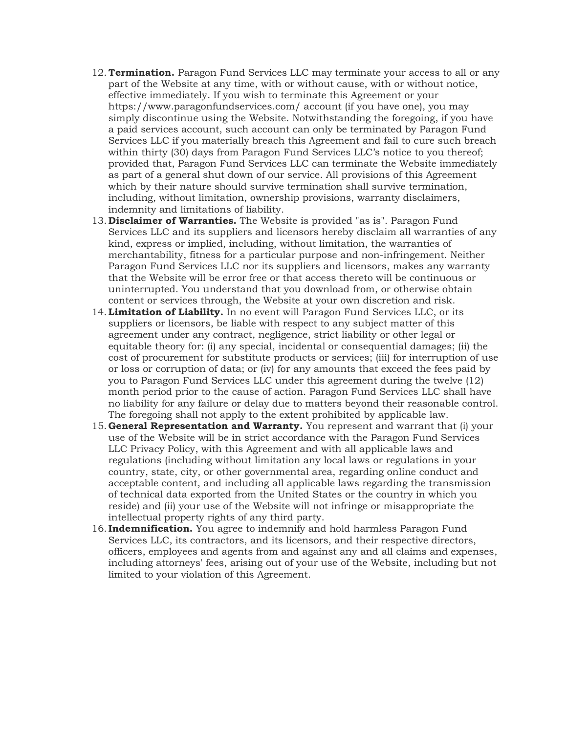- 12. Termination. Paragon Fund Services LLC may terminate your access to all or any part of the Website at any time, with or without cause, with or without notice, effective immediately. If you wish to terminate this Agreement or your https://www.paragonfundservices.com/ account (if you have one), you may simply discontinue using the Website. Notwithstanding the foregoing, if you have a paid services account, such account can only be terminated by Paragon Fund Services LLC if you materially breach this Agreement and fail to cure such breach within thirty (30) days from Paragon Fund Services LLC's notice to you thereof; provided that, Paragon Fund Services LLC can terminate the Website immediately as part of a general shut down of our service. All provisions of this Agreement which by their nature should survive termination shall survive termination, including, without limitation, ownership provisions, warranty disclaimers, indemnity and limitations of liability.
- 13. Disclaimer of Warranties. The Website is provided "as is". Paragon Fund Services LLC and its suppliers and licensors hereby disclaim all warranties of any kind, express or implied, including, without limitation, the warranties of merchantability, fitness for a particular purpose and non-infringement. Neither Paragon Fund Services LLC nor its suppliers and licensors, makes any warranty that the Website will be error free or that access thereto will be continuous or uninterrupted. You understand that you download from, or otherwise obtain content or services through, the Website at your own discretion and risk.
- 14. Limitation of Liability. In no event will Paragon Fund Services LLC, or its suppliers or licensors, be liable with respect to any subject matter of this agreement under any contract, negligence, strict liability or other legal or equitable theory for: (i) any special, incidental or consequential damages; (ii) the cost of procurement for substitute products or services; (iii) for interruption of use or loss or corruption of data; or (iv) for any amounts that exceed the fees paid by you to Paragon Fund Services LLC under this agreement during the twelve (12) month period prior to the cause of action. Paragon Fund Services LLC shall have no liability for any failure or delay due to matters beyond their reasonable control. The foregoing shall not apply to the extent prohibited by applicable law.
- 15. General Representation and Warranty. You represent and warrant that (i) your use of the Website will be in strict accordance with the Paragon Fund Services LLC Privacy Policy, with this Agreement and with all applicable laws and regulations (including without limitation any local laws or regulations in your country, state, city, or other governmental area, regarding online conduct and acceptable content, and including all applicable laws regarding the transmission of technical data exported from the United States or the country in which you reside) and (ii) your use of the Website will not infringe or misappropriate the intellectual property rights of any third party.
- 16. Indemnification. You agree to indemnify and hold harmless Paragon Fund Services LLC, its contractors, and its licensors, and their respective directors, officers, employees and agents from and against any and all claims and expenses, including attorneys' fees, arising out of your use of the Website, including but not limited to your violation of this Agreement.